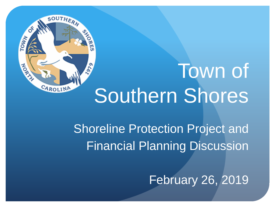

# Town of Southern Shores

Shoreline Protection Project and Financial Planning Discussion

February 26, 2019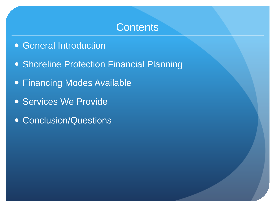## **Contents**

- General Introduction
- Shoreline Protection Financial Planning
- Financing Modes Available
- Services We Provide
- **Conclusion/Questions**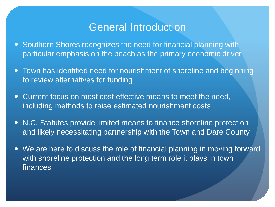## General Introduction

- Southern Shores recognizes the need for financial planning with particular emphasis on the beach as the primary economic driver
- Town has identified need for nourishment of shoreline and beginning to review alternatives for funding
- Current focus on most cost effective means to meet the need, including methods to raise estimated nourishment costs
- N.C. Statutes provide limited means to finance shoreline protection and likely necessitating partnership with the Town and Dare County
- We are here to discuss the role of financial planning in moving forward with shoreline protection and the long term role it plays in town finances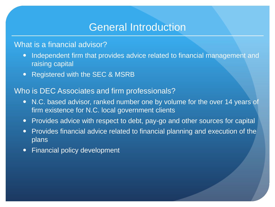## General Introduction

#### What is a financial advisor?

- Independent firm that provides advice related to financial management and raising capital
- Registered with the SEC & MSRB

#### Who is DEC Associates and firm professionals?

- N.C. based advisor, ranked number one by volume for the over 14 years of firm existence for N.C. local government clients
- Provides advice with respect to debt, pay-go and other sources for capital
- Provides financial advice related to financial planning and execution of the plans
- Financial policy development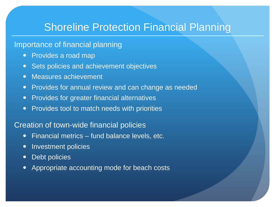# Shoreline Protection Financial Planning

## Importance of financial planning

- Provides a road map
- **Sets policies and achievement objectives**
- Measures achievement
- Provides for annual review and can change as needed
- Provides for greater financial alternatives
- Provides tool to match needs with priorities

#### Creation of town-wide financial policies

- Financial metrics fund balance levels, etc.
- Investment policies
- Debt policies
- Appropriate accounting mode for beach costs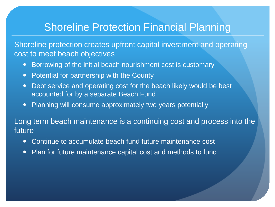# Shoreline Protection Financial Planning

Shoreline protection creates upfront capital investment and operating cost to meet beach objectives

- Borrowing of the initial beach nourishment cost is customary
- Potential for partnership with the County
- Debt service and operating cost for the beach likely would be best accounted for by a separate Beach Fund
- Planning will consume approximately two years potentially

Long term beach maintenance is a continuing cost and process into the future

- Continue to accumulate beach fund future maintenance cost
- Plan for future maintenance capital cost and methods to fund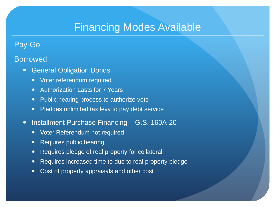# Financing Modes Available

## Pay-Go

#### Borrowed

- General Obligation Bonds
	- Voter referendum required
	- Authorization Lasts for 7 Years
	- Public hearing process to authorize vote
	- Pledges unlimited tax levy to pay debt service
- Installment Purchase Financing G.S. 160A-20
	- Voter Referendum not required
	- Requires public hearing
	- Requires pledge of real property for collateral
	- Requires increased time to due to real property pledge
	- Cost of property appraisals and other cost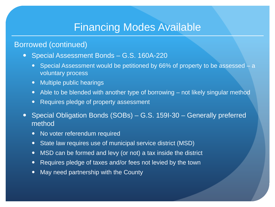# Financing Modes Available

## Borrowed (continued)

- Special Assessment Bonds G.S. 160A-220
	- Special Assessment would be petitioned by 66% of property to be assessed a voluntary process
	- Multiple public hearings
	- Able to be blended with another type of borrowing not likely singular method
	- Requires pledge of property assessment
- Special Obligation Bonds (SOBs) G.S. 159I-30 Generally preferred method
	- No voter referendum required
	- State law requires use of municipal service district (MSD)
	- MSD can be formed and levy (or not) a tax inside the district
	- Requires pledge of taxes and/or fees not levied by the town
	- May need partnership with the County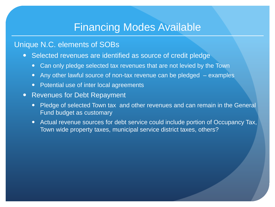# Financing Modes Available

### Unique N.C. elements of SOBs

- Selected revenues are identified as source of credit pledge
	- Can only pledge selected tax revenues that are not levied by the Town
	- Any other lawful source of non-tax revenue can be pledged  $-$  examples
	- Potential use of inter local agreements
- Revenues for Debt Repayment
	- Pledge of selected Town tax and other revenues and can remain in the General Fund budget as customary
	- Actual revenue sources for debt service could include portion of Occupancy Tax, Town wide property taxes, municipal service district taxes, others?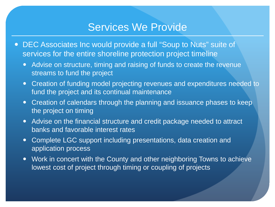## Services We Provide

- DEC Associates Inc would provide a full "Soup to Nuts" suite of services for the entire shoreline protection project timeline
	- Advise on structure, timing and raising of funds to create the revenue streams to fund the project
	- Creation of funding model projecting revenues and expenditures needed to fund the project and its continual maintenance
	- Creation of calendars through the planning and issuance phases to keep the project on timing
	- Advise on the financial structure and credit package needed to attract banks and favorable interest rates
	- Complete LGC support including presentations, data creation and application process
	- Work in concert with the County and other neighboring Towns to achieve lowest cost of project through timing or coupling of projects